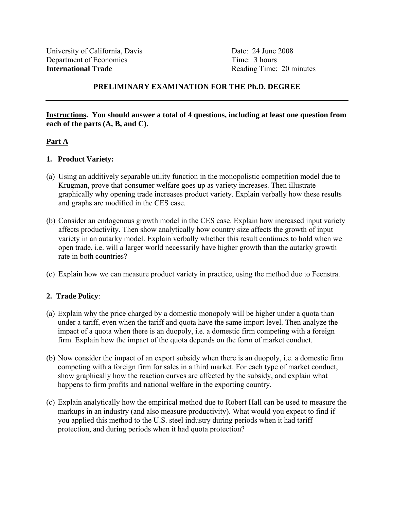Reading Time: 20 minutes

# **PRELIMINARY EXAMINATION FOR THE Ph.D. DEGREE**

**Instructions. You should answer a total of 4 questions, including at least one question from each of the parts (A, B, and C).** 

### **Part A**

### **1. Product Variety:**

- (a) Using an additively separable utility function in the monopolistic competition model due to Krugman, prove that consumer welfare goes up as variety increases. Then illustrate graphically why opening trade increases product variety. Explain verbally how these results and graphs are modified in the CES case.
- (b) Consider an endogenous growth model in the CES case. Explain how increased input variety affects productivity. Then show analytically how country size affects the growth of input variety in an autarky model. Explain verbally whether this result continues to hold when we open trade, i.e. will a larger world necessarily have higher growth than the autarky growth rate in both countries?
- (c) Explain how we can measure product variety in practice, using the method due to Feenstra.

# **2. Trade Policy**:

- (a) Explain why the price charged by a domestic monopoly will be higher under a quota than under a tariff, even when the tariff and quota have the same import level. Then analyze the impact of a quota when there is an duopoly, i.e. a domestic firm competing with a foreign firm. Explain how the impact of the quota depends on the form of market conduct.
- (b) Now consider the impact of an export subsidy when there is an duopoly, i.e. a domestic firm competing with a foreign firm for sales in a third market. For each type of market conduct, show graphically how the reaction curves are affected by the subsidy, and explain what happens to firm profits and national welfare in the exporting country.
- (c) Explain analytically how the empirical method due to Robert Hall can be used to measure the markups in an industry (and also measure productivity). What would you expect to find if you applied this method to the U.S. steel industry during periods when it had tariff protection, and during periods when it had quota protection?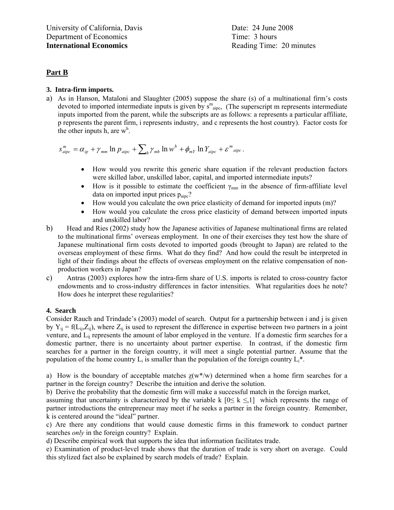### **Part B**

#### **3. Intra-firm imports.**

a) As in Hanson, Mataloni and Slaughter (2005) suppose the share (s) of a multinational firm's costs devoted to imported intermediate inputs is given by  $s^m$ <sub>aipc</sub>, (The superscript m represents intermediate inputs imported from the parent, while the subscripts are as follows: a represents a particular affiliate, p represents the parent firm, i represents industry, and c represents the host country). Factor costs for the other inputs  $\hat{h}$ , are  $w^h$ .

$$
s_{aipc}^m = \alpha_{ip} + \gamma_{mm} \ln p_{aipc} + \sum_h \gamma_{mh} \ln w^h + \phi_{mY} \ln Y_{aipc} + \varepsilon^m_{\text{aipc}}.
$$

- How would you rewrite this generic share equation if the relevant production factors were skilled labor, unskilled labor, capital, and imported intermediate inputs?
- How is it possible to estimate the coefficient  $\gamma_{mn}$  in the absence of firm-affiliate level data on imported input prices  $p_{\text{aipc}}$ ?
- How would you calculate the own price elasticity of demand for imported inputs (m)?
- How would you calculate the cross price elasticity of demand between imported inputs and unskilled labor?
- b) Head and Ries (2002) study how the Japanese activities of Japanese multinational firms are related to the multinational firms' overseas employment. In one of their exercises they test how the share of Japanese multinational firm costs devoted to imported goods (brought to Japan) are related to the overseas employment of these firms. What do they find? And how could the result be interpreted in light of their findings about the effects of overseas employment on the relative compensation of nonproduction workers in Japan?
- c) Antras (2003) explores how the intra-firm share of U.S. imports is related to cross-country factor endowments and to cross-industry differences in factor intensities. What regularities does he note? How does he interpret these regularities?

#### **4. Search**

Consider Rauch and Trindade's (2003) model of search. Output for a partnership between i and j is given by  $Y_{ii} = f(L_{ii}, Z_{ii})$ , where  $Z_{ii}$  is used to represent the difference in expertise between two partners in a joint venture, and L<sub>ij</sub> represents the amount of labor employed in the venture. If a domestic firm searches for a domestic partner, there is no uncertainty about partner expertise. In contrast, if the domestic firm searches for a partner in the foreign country, it will meet a single potential partner. Assume that the population of the home country  $L_i$  is smaller than the population of the foreign country  $L_i^*$ .

a) How is the boundary of acceptable matches  $z(w^* \wedge w)$  determined when a home firm searches for a partner in the foreign country? Describe the intuition and derive the solution.

b) Derive the probability that the domestic firm will make a successful match in the foreign market,

assuming that uncertainty is characterized by the variable k  $[0 \le k \le 1]$  which represents the range of partner introductions the entrepreneur may meet if he seeks a partner in the foreign country. Remember, k is centered around the "ideal" partner.

c) Are there any conditions that would cause domestic firms in this framework to conduct partner searches *only* in the foreign country? Explain.

d) Describe empirical work that supports the idea that information facilitates trade.

e) Examination of product-level trade shows that the duration of trade is very short on average. Could this stylized fact also be explained by search models of trade? Explain.